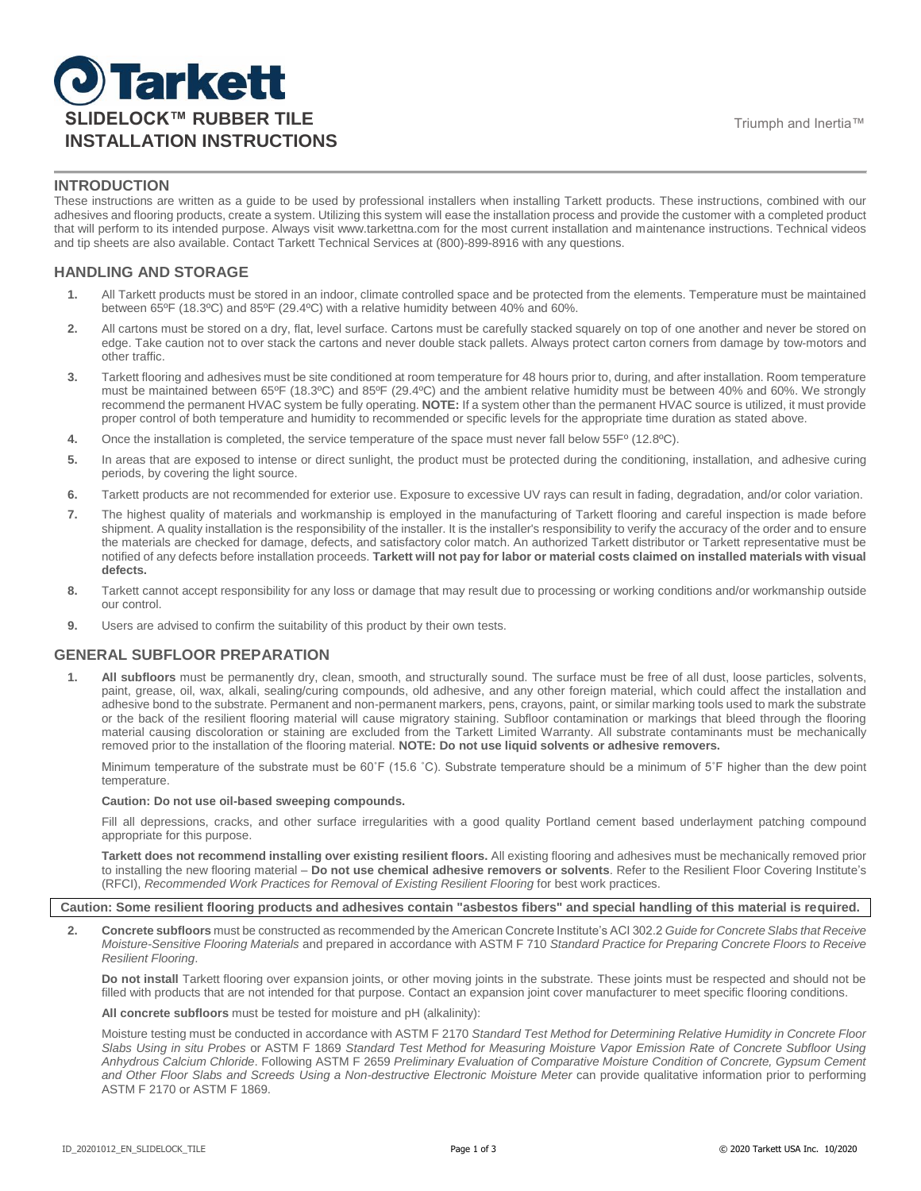# **J**Tarkett **SLIDELOCK™ RUBBER TILE** THE TRIUMPHONE Triumph and Inertia™ **INSTALLATION INSTRUCTIONS**

## **INTRODUCTION**

These instructions are written as a guide to be used by professional installers when installing Tarkett products. These instructions, combined with our adhesives and flooring products, create a system. Utilizing this system will ease the installation process and provide the customer with a completed product that will perform to its intended purpose. Always visit www.tarkettna.com for the most current installation and maintenance instructions. Technical videos and tip sheets are also available. Contact Tarkett Technical Services at (800)-899-8916 with any questions.

## **HANDLING AND STORAGE**

- **1.** All Tarkett products must be stored in an indoor, climate controlled space and be protected from the elements. Temperature must be maintained between 65ºF (18.3ºC) and 85ºF (29.4ºC) with a relative humidity between 40% and 60%.
- **2.** All cartons must be stored on a dry, flat, level surface. Cartons must be carefully stacked squarely on top of one another and never be stored on edge. Take caution not to over stack the cartons and never double stack pallets. Always protect carton corners from damage by tow-motors and other traffic.
- **3.** Tarkett flooring and adhesives must be site conditioned at room temperature for 48 hours prior to, during, and after installation. Room temperature must be maintained between 65ºF (18.3ºC) and 85ºF (29.4ºC) and the ambient relative humidity must be between 40% and 60%. We strongly recommend the permanent HVAC system be fully operating. **NOTE:** If a system other than the permanent HVAC source is utilized, it must provide proper control of both temperature and humidity to recommended or specific levels for the appropriate time duration as stated above.
- **4.** Once the installation is completed, the service temperature of the space must never fall below 55Fº (12.8ºC).
- **5.** In areas that are exposed to intense or direct sunlight, the product must be protected during the conditioning, installation, and adhesive curing periods, by covering the light source.
- **6.** Tarkett products are not recommended for exterior use. Exposure to excessive UV rays can result in fading, degradation, and/or color variation.
- **7.** The highest quality of materials and workmanship is employed in the manufacturing of Tarkett flooring and careful inspection is made before shipment. A quality installation is the responsibility of the installer. It is the installer's responsibility to verify the accuracy of the order and to ensure the materials are checked for damage, defects, and satisfactory color match. An authorized Tarkett distributor or Tarkett representative must be notified of any defects before installation proceeds. **Tarkett will not pay for labor or material costs claimed on installed materials with visual defects.**
- **8.** Tarkett cannot accept responsibility for any loss or damage that may result due to processing or working conditions and/or workmanship outside our control.
- **9.** Users are advised to confirm the suitability of this product by their own tests.

### **GENERAL SUBFLOOR PREPARATION**

**1. All subfloors** must be permanently dry, clean, smooth, and structurally sound. The surface must be free of all dust, loose particles, solvents, paint, grease, oil, wax, alkali, sealing/curing compounds, old adhesive, and any other foreign material, which could affect the installation and adhesive bond to the substrate. Permanent and non-permanent markers, pens, crayons, paint, or similar marking tools used to mark the substrate or the back of the resilient flooring material will cause migratory staining. Subfloor contamination or markings that bleed through the flooring material causing discoloration or staining are excluded from the Tarkett Limited Warranty. All substrate contaminants must be mechanically removed prior to the installation of the flooring material. **NOTE: Do not use liquid solvents or adhesive removers.**

Minimum temperature of the substrate must be 60°F (15.6 °C). Substrate temperature should be a minimum of 5°F higher than the dew point temperature.

#### **Caution: Do not use oil-based sweeping compounds.**

Fill all depressions, cracks, and other surface irregularities with a good quality Portland cement based underlayment patching compound appropriate for this purpose.

**Tarkett does not recommend installing over existing resilient floors.** All existing flooring and adhesives must be mechanically removed prior to installing the new flooring material – **Do not use chemical adhesive removers or solvents**. Refer to the Resilient Floor Covering Institute's (RFCI), *Recommended Work Practices for Removal of Existing Resilient Flooring* for best work practices.

**Caution: Some resilient flooring products and adhesives contain "asbestos fibers" and special handling of this material is required.**

**2. Concrete subfloors** must be constructed as recommended by the American Concrete Institute's ACI 302.2 *Guide for Concrete Slabs that Receive Moisture-Sensitive Flooring Materials* and prepared in accordance with ASTM F 710 *Standard Practice for Preparing Concrete Floors to Receive Resilient Flooring*.

**Do not install** Tarkett flooring over expansion joints, or other moving joints in the substrate. These joints must be respected and should not be filled with products that are not intended for that purpose. Contact an expansion joint cover manufacturer to meet specific flooring conditions.

**All concrete subfloors** must be tested for moisture and pH (alkalinity):

Moisture testing must be conducted in accordance with ASTM F 2170 *Standard Test Method for Determining Relative Humidity in Concrete Floor Slabs Using in situ Probes* or ASTM F 1869 *Standard Test Method for Measuring Moisture Vapor Emission Rate of Concrete Subfloor Using Anhydrous Calcium Chloride*. Following ASTM F 2659 *Preliminary Evaluation of Comparative Moisture Condition of Concrete, Gypsum Cement*  and Other Floor Slabs and Screeds Using a Non-destructive Electronic Moisture Meter can provide qualitative information prior to performing ASTM F 2170 or ASTM F 1869.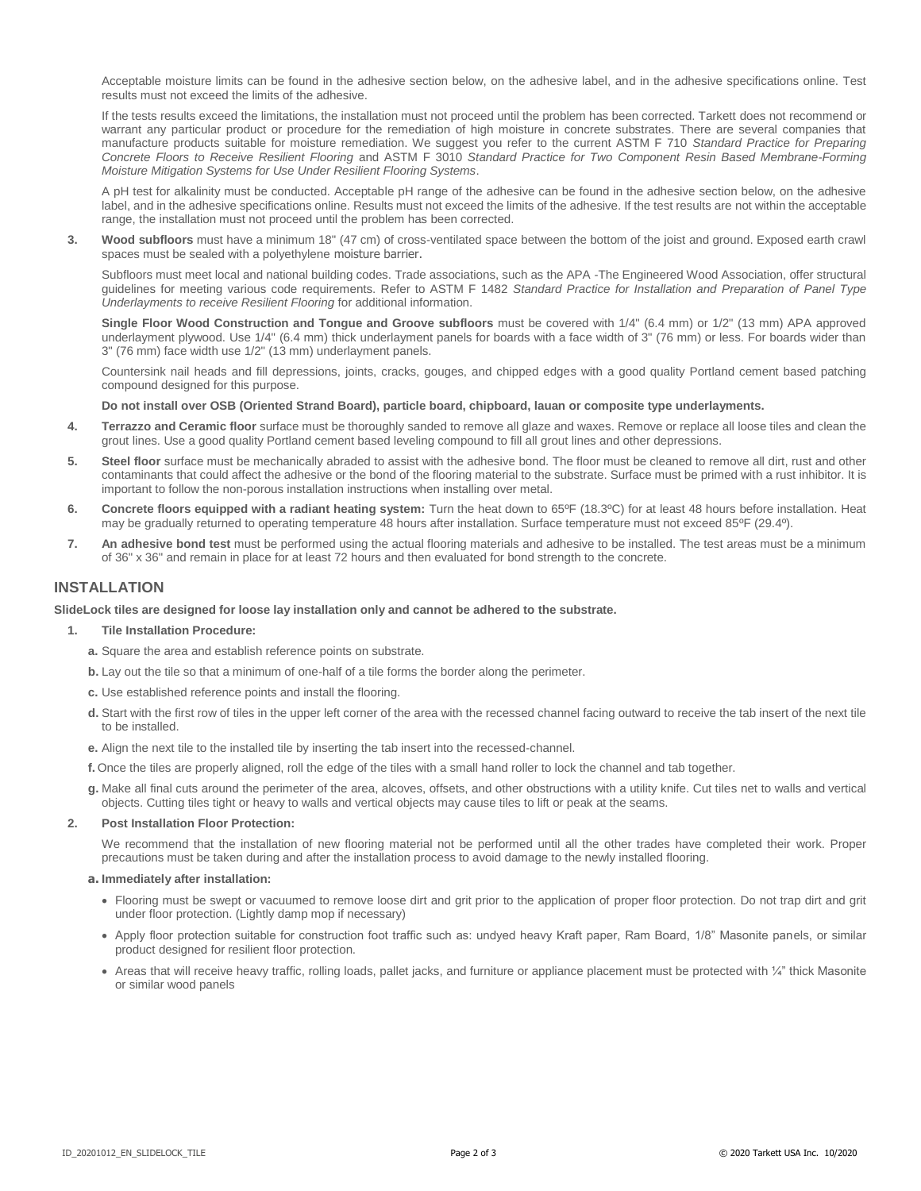Acceptable moisture limits can be found in the adhesive section below, on the adhesive label, and in the adhesive specifications online. Test results must not exceed the limits of the adhesive.

If the tests results exceed the limitations, the installation must not proceed until the problem has been corrected. Tarkett does not recommend or warrant any particular product or procedure for the remediation of high moisture in concrete substrates. There are several companies that manufacture products suitable for moisture remediation. We suggest you refer to the current ASTM F 710 *Standard Practice for Preparing Concrete Floors to Receive Resilient Flooring* and ASTM F 3010 *Standard Practice for Two Component Resin Based Membrane-Forming Moisture Mitigation Systems for Use Under Resilient Flooring Systems*.

A pH test for alkalinity must be conducted. Acceptable pH range of the adhesive can be found in the adhesive section below, on the adhesive label, and in the adhesive specifications online. Results must not exceed the limits of the adhesive. If the test results are not within the acceptable range, the installation must not proceed until the problem has been corrected.

**3. Wood subfloors** must have a minimum 18" (47 cm) of cross-ventilated space between the bottom of the joist and ground. Exposed earth crawl spaces must be sealed with a polyethylene moisture barrier.

Subfloors must meet local and national building codes. Trade associations, such as the APA -The Engineered Wood Association, offer structural guidelines for meeting various code requirements. Refer to ASTM F 1482 *Standard Practice for Installation and Preparation of Panel Type Underlayments to receive Resilient Flooring* for additional information.

**Single Floor Wood Construction and Tongue and Groove subfloors** must be covered with 1/4" (6.4 mm) or 1/2" (13 mm) APA approved underlayment plywood. Use 1/4" (6.4 mm) thick underlayment panels for boards with a face width of 3" (76 mm) or less. For boards wider than 3" (76 mm) face width use 1/2" (13 mm) underlayment panels.

Countersink nail heads and fill depressions, joints, cracks, gouges, and chipped edges with a good quality Portland cement based patching compound designed for this purpose.

#### **Do not install over OSB (Oriented Strand Board), particle board, chipboard, lauan or composite type underlayments.**

- **4. Terrazzo and Ceramic floor** surface must be thoroughly sanded to remove all glaze and waxes. Remove or replace all loose tiles and clean the grout lines. Use a good quality Portland cement based leveling compound to fill all grout lines and other depressions.
- **5. Steel floor** surface must be mechanically abraded to assist with the adhesive bond. The floor must be cleaned to remove all dirt, rust and other contaminants that could affect the adhesive or the bond of the flooring material to the substrate. Surface must be primed with a rust inhibitor. It is important to follow the non-porous installation instructions when installing over metal.
- **6. Concrete floors equipped with a radiant heating system:** Turn the heat down to 65ºF (18.3ºC) for at least 48 hours before installation. Heat may be gradually returned to operating temperature 48 hours after installation. Surface temperature must not exceed 85ºF (29.4º).
- **7. An adhesive bond test** must be performed using the actual flooring materials and adhesive to be installed. The test areas must be a minimum of 36" x 36" and remain in place for at least 72 hours and then evaluated for bond strength to the concrete.

## **INSTALLATION**

#### **SlideLock tiles are designed for loose lay installation only and cannot be adhered to the substrate.**

#### **1. Tile Installation Procedure:**

- **a.** Square the area and establish reference points on substrate.
- **b.** Lay out the tile so that a minimum of one-half of a tile forms the border along the perimeter.
- **c.** Use established reference points and install the flooring.
- **d.** Start with the first row of tiles in the upper left corner of the area with the recessed channel facing outward to receive the tab insert of the next tile to be installed.
- **e.** Align the next tile to the installed tile by inserting the tab insert into the recessed-channel.
- **f.** Once the tiles are properly aligned, roll the edge of the tiles with a small hand roller to lock the channel and tab together.
- **g.** Make all final cuts around the perimeter of the area, alcoves, offsets, and other obstructions with a utility knife. Cut tiles net to walls and vertical objects. Cutting tiles tight or heavy to walls and vertical objects may cause tiles to lift or peak at the seams.

#### **2. Post Installation Floor Protection:**

We recommend that the installation of new flooring material not be performed until all the other trades have completed their work. Proper precautions must be taken during and after the installation process to avoid damage to the newly installed flooring.

#### **a. Immediately after installation:**

- Flooring must be swept or vacuumed to remove loose dirt and grit prior to the application of proper floor protection. Do not trap dirt and grit under floor protection. (Lightly damp mop if necessary)
- Apply floor protection suitable for construction foot traffic such as: undyed heavy Kraft paper, Ram Board, 1/8" Masonite panels, or similar product designed for resilient floor protection.
- Areas that will receive heavy traffic, rolling loads, pallet jacks, and furniture or appliance placement must be protected with ¼" thick Masonite or similar wood panels